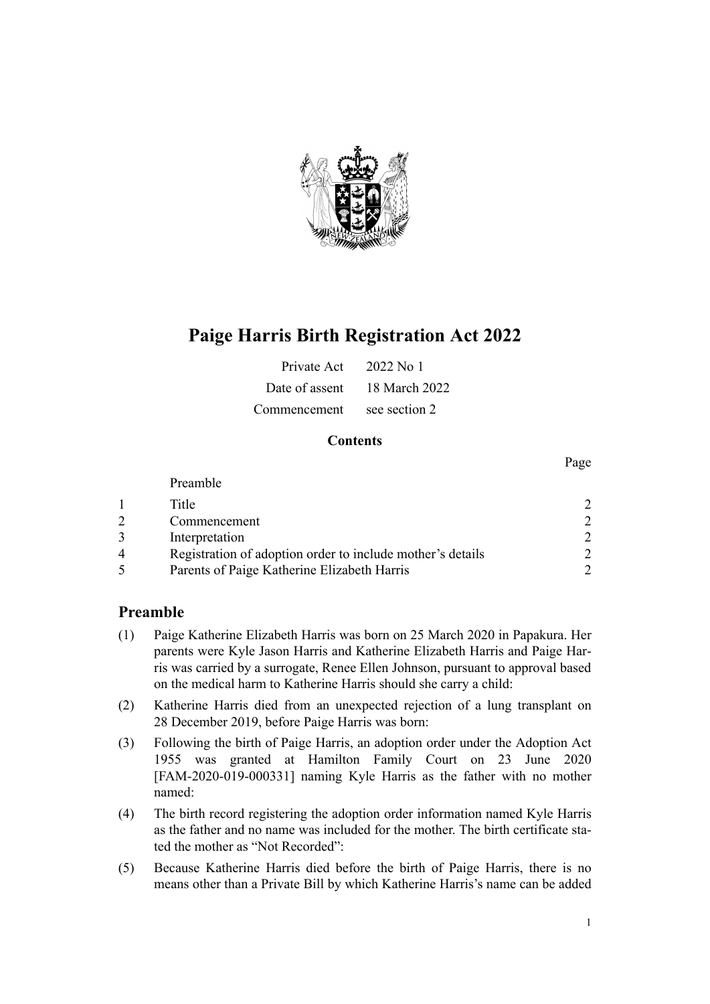

# **Paige Harris Birth Registration Act 2022**

| Private Act  | 2022 No 1                    |
|--------------|------------------------------|
|              | Date of assent 18 March 2022 |
| Commencement | see section 2                |

### **Contents**

|   | Preamble                                                   |  |
|---|------------------------------------------------------------|--|
|   | Title                                                      |  |
|   | Commencement                                               |  |
|   | Interpretation                                             |  |
| 4 | Registration of adoption order to include mother's details |  |
|   | Parents of Paige Katherine Elizabeth Harris                |  |

# **Preamble**

- (1) Paige Katherine Elizabeth Harris was born on 25 March 2020 in Papakura. Her parents were Kyle Jason Harris and Katherine Elizabeth Harris and Paige Har‐ ris was carried by a surrogate, Renee Ellen Johnson, pursuant to approval based on the medical harm to Katherine Harris should she carry a child:
- (2) Katherine Harris died from an unexpected rejection of a lung transplant on 28 December 2019, before Paige Harris was born:
- (3) Following the birth of Paige Harris, an adoption order under the [Adoption Act](http://legislation.govt.nz/pdflink.aspx?id=DLM292660) [1955](http://legislation.govt.nz/pdflink.aspx?id=DLM292660) was granted at Hamilton Family Court on 23 June 2020 [FAM-2020-019-000331] naming Kyle Harris as the father with no mother named:
- (4) The birth record registering the adoption order information named Kyle Harris as the father and no name was included for the mother. The birth certificate stated the mother as "Not Recorded":
- (5) Because Katherine Harris died before the birth of Paige Harris, there is no means other than a Private Bill by which Katherine Harris's name can be added

Page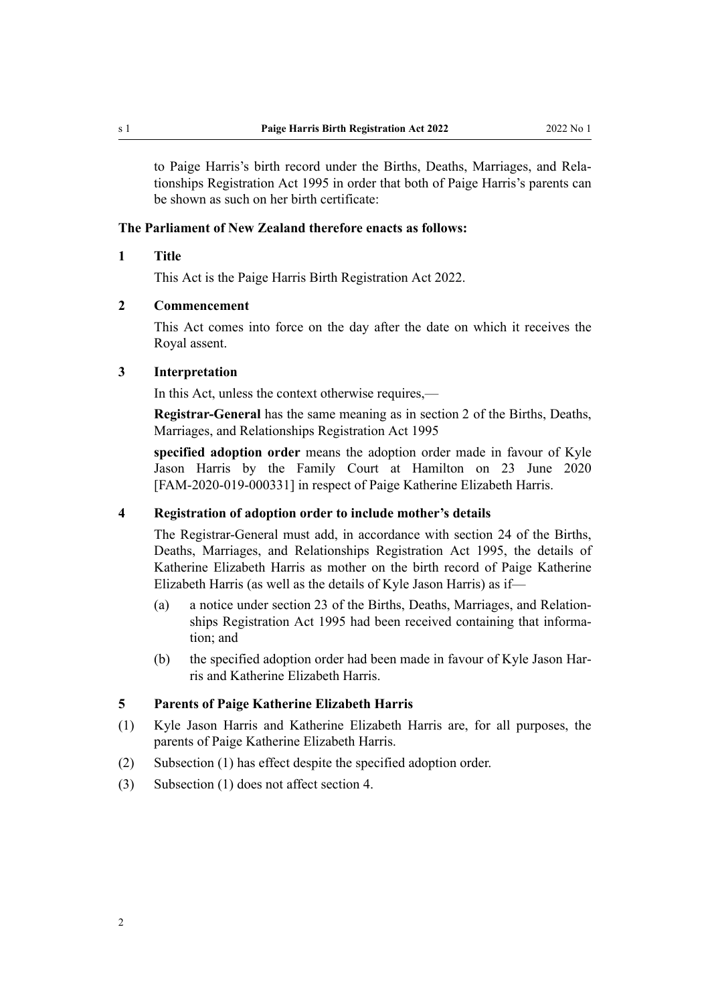<span id="page-1-0"></span>to Paige Harris's birth record under the [Births, Deaths, Marriages, and Rela‐](http://legislation.govt.nz/pdflink.aspx?id=DLM359368) [tionships Registration Act 1995](http://legislation.govt.nz/pdflink.aspx?id=DLM359368) in order that both of Paige Harris's parents can be shown as such on her birth certificate:

#### **The Parliament of New Zealand therefore enacts as follows:**

#### **1 Title**

This Act is the Paige Harris Birth Registration Act 2022.

#### **2 Commencement**

This Act comes into force on the day after the date on which it receives the Royal assent.

#### **3 Interpretation**

In this Act, unless the context otherwise requires,—

**Registrar-General** has the same meaning as in [section 2](http://legislation.govt.nz/pdflink.aspx?id=DLM359378) of the Births, Deaths, Marriages, and Relationships Registration Act 1995

**specified adoption order** means the adoption order made in favour of Kyle Jason Harris by the Family Court at Hamilton on 23 June 2020 [FAM-2020-019-000331] in respect of Paige Katherine Elizabeth Harris.

#### **4 Registration of adoption order to include mother's details**

The Registrar-General must add, in accordance with [section 24](http://legislation.govt.nz/pdflink.aspx?id=DLM364143) of the Births, Deaths, Marriages, and Relationships Registration Act 1995, the details of Katherine Elizabeth Harris as mother on the birth record of Paige Katherine Elizabeth Harris (as well as the details of Kyle Jason Harris) as if—

- (a) a notice under [section 23](http://legislation.govt.nz/pdflink.aspx?id=DLM364142) of the Births, Deaths, Marriages, and Relation‐ ships Registration Act 1995 had been received containing that information; and
- (b) the specified adoption order had been made in favour of Kyle Jason Harris and Katherine Elizabeth Harris.

#### **5 Parents of Paige Katherine Elizabeth Harris**

- (1) Kyle Jason Harris and Katherine Elizabeth Harris are, for all purposes, the parents of Paige Katherine Elizabeth Harris.
- (2) Subsection (1) has effect despite the specified adoption order.
- (3) Subsection (1) does not affect section 4.